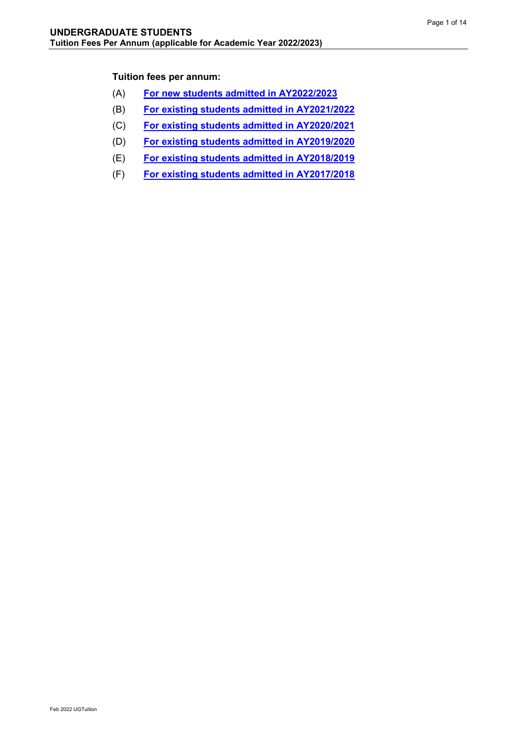### **Tuition fees per annum:**

- (A) **[For new students admitted in AY2022/2023](#page-1-0)**
- (B) **For existing [students admitted in AY2021/2022](#page-3-0)**
- (C) **For existing [students admitted in AY2020/2021](#page-5-0)**
- (D) **[For existing students admitted in AY2019/2020](#page-7-0)**
- (E) **[For existing students admitted in AY2018/2019](#page-9-0)**
- (F) **[For existing students admitted in AY2017/2018](#page-11-0)**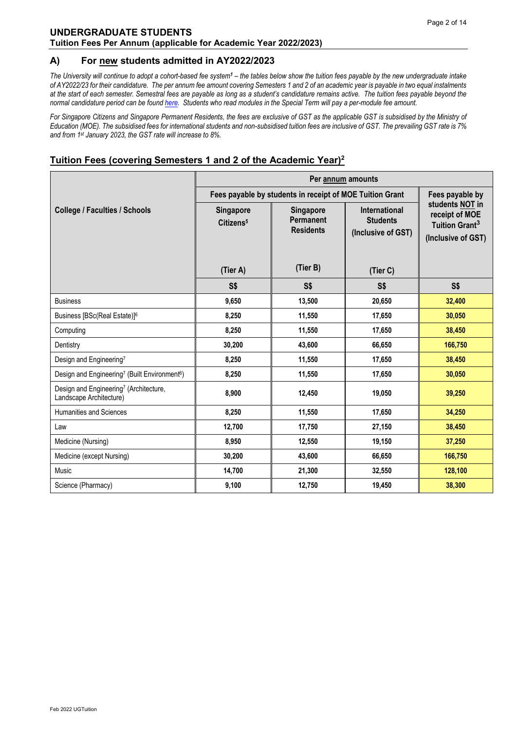#### <span id="page-1-0"></span>**A) For new students admitted in AY2022/2023**

*The University will continue to adopt a cohort-based fee system<sup>1</sup> – the tables below show the tuition fees payable by the new undergraduate intake of AY2022/23 for their candidature. The per annum fee amount covering Semesters 1 and 2 of an academic year is payable in two equal instalments at the start of each semester. Semestral fees are payable as long as a student's candidature remains active. The tuition fees payable beyond the normal candidature period can be foun[d here.](http://www.nus.edu.sg/registrar/administrative-policies-procedures/undergraduate/undergraduate-fees) Students who read modules in the Special Term will pay a per-module fee amount.*

*For Singapore Citizens and Singapore Permanent Residents, the fees are exclusive of GST as the applicable GST is subsidised by the Ministry of Education (MOE). The subsidised fees for international students and non-subsidised tuition fees are inclusive of GST. The prevailing GST rate is 7% and from 1st January 2023, the GST rate will increase to 8%.*

|                                                                               | Per annum amounts                                                           |                                                   |                                                               |                                                                                       |  |
|-------------------------------------------------------------------------------|-----------------------------------------------------------------------------|---------------------------------------------------|---------------------------------------------------------------|---------------------------------------------------------------------------------------|--|
|                                                                               | Fees payable by students in receipt of MOE Tuition Grant<br>Fees payable by |                                                   |                                                               |                                                                                       |  |
| <b>College / Faculties / Schools</b>                                          | Singapore<br>Citizens <sup>5</sup>                                          | <b>Singapore</b><br>Permanent<br><b>Residents</b> | <b>International</b><br><b>Students</b><br>(Inclusive of GST) | students NOT in<br>receipt of MOE<br>Tuition Grant <sup>3</sup><br>(Inclusive of GST) |  |
|                                                                               | (Tier A)                                                                    | (Tier B)                                          | (Tier C)                                                      |                                                                                       |  |
|                                                                               | S\$                                                                         | S\$                                               | S\$                                                           | S\$                                                                                   |  |
| <b>Business</b>                                                               | 9,650                                                                       | 13,500                                            | 20,650                                                        | 32,400                                                                                |  |
| Business [BSc(Real Estate)] <sup>6</sup>                                      | 8,250                                                                       | 11,550                                            | 17,650                                                        | 30,050                                                                                |  |
| Computing                                                                     | 8,250                                                                       | 11,550                                            | 17,650                                                        | 38,450                                                                                |  |
| Dentistry                                                                     | 30,200                                                                      | 43,600                                            | 66,650                                                        | 166,750                                                                               |  |
| Design and Engineering7                                                       | 8,250                                                                       | 11,550                                            | 17,650                                                        | 38,450                                                                                |  |
| Design and Engineering <sup>7</sup> (Built Environment <sup>6</sup> )         | 8,250                                                                       | 11,550                                            | 17,650                                                        | 30,050                                                                                |  |
| Design and Engineering <sup>7</sup> (Architecture,<br>Landscape Architecture) | 8,900                                                                       | 12,450                                            | 19,050                                                        | 39,250                                                                                |  |
| <b>Humanities and Sciences</b>                                                | 8,250                                                                       | 11,550                                            | 17,650                                                        | 34,250                                                                                |  |
| Law                                                                           | 12,700                                                                      | 17,750                                            | 27,150                                                        | 38,450                                                                                |  |
| Medicine (Nursing)                                                            | 8,950                                                                       | 12,550                                            | 19,150                                                        | 37,250                                                                                |  |
| Medicine (except Nursing)                                                     | 30,200                                                                      | 43,600                                            | 66,650                                                        | 166,750                                                                               |  |
| Music                                                                         | 14,700                                                                      | 21,300                                            | 32,550                                                        | 128,100                                                                               |  |
| Science (Pharmacy)                                                            | 9,100                                                                       | 12,750                                            | 19,450                                                        | 38,300                                                                                |  |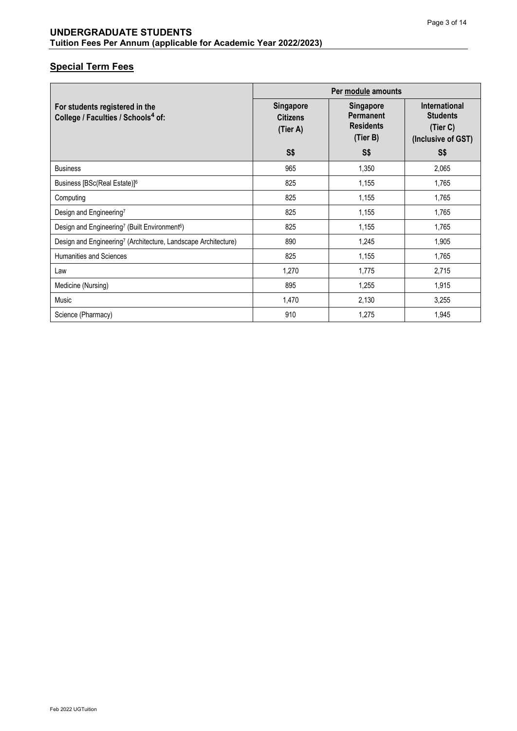|                                                                                  | Per module amounts                              |                                                                      |                                                                           |
|----------------------------------------------------------------------------------|-------------------------------------------------|----------------------------------------------------------------------|---------------------------------------------------------------------------|
| For students registered in the<br>College / Faculties / Schools <sup>4</sup> of: | <b>Singapore</b><br><b>Citizens</b><br>(Tier A) | <b>Singapore</b><br><b>Permanent</b><br><b>Residents</b><br>(Tier B) | <b>International</b><br><b>Students</b><br>(Tier C)<br>(Inclusive of GST) |
|                                                                                  | S\$                                             | S <sub>5</sub>                                                       | S\$                                                                       |
| <b>Business</b>                                                                  | 965                                             | 1,350                                                                | 2,065                                                                     |
| Business [BSc(Real Estate)] <sup>6</sup>                                         | 825                                             | 1,155                                                                | 1,765                                                                     |
| Computing                                                                        | 825                                             | 1,155                                                                | 1,765                                                                     |
| Design and Engineering7                                                          | 825                                             | 1,155                                                                | 1,765                                                                     |
| Design and Engineering <sup>7</sup> (Built Environment <sup>6</sup> )            | 825                                             | 1,155                                                                | 1,765                                                                     |
| Design and Engineering <sup>7</sup> (Architecture, Landscape Architecture)       | 890                                             | 1,245                                                                | 1,905                                                                     |
| Humanities and Sciences                                                          | 825                                             | 1,155                                                                | 1,765                                                                     |
| Law                                                                              | 1,270                                           | 1,775                                                                | 2,715                                                                     |
| Medicine (Nursing)                                                               | 895                                             | 1,255                                                                | 1,915                                                                     |
| Music                                                                            | 1,470                                           | 2,130                                                                | 3,255                                                                     |
| Science (Pharmacy)                                                               | 910                                             | 1,275                                                                | 1,945                                                                     |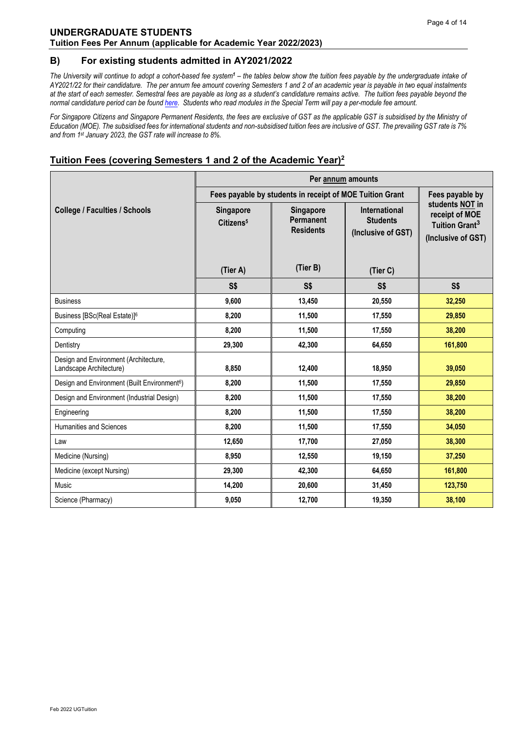#### <span id="page-3-0"></span>**B) For existing students admitted in AY2021/2022**

*The University will continue to adopt a cohort-based fee system<sup>1</sup> – the tables below show the tuition fees payable by the undergraduate intake of AY2021/22 for their candidature. The per annum fee amount covering Semesters 1 and 2 of an academic year is payable in two equal instalments at the start of each semester. Semestral fees are payable as long as a student's candidature remains active. The tuition fees payable beyond the normal candidature period can be foun[d here.](http://www.nus.edu.sg/registrar/administrative-policies-procedures/undergraduate/undergraduate-fees) Students who read modules in the Special Term will pay a per-module fee amount.*

For Singapore Citizens and Singapore Permanent Residents, the fees are exclusive of GST as the applicable GST is subsidised by the Ministry of *Education (MOE). The subsidised fees for international students and non-subsidised tuition fees are inclusive of GST. The prevailing GST rate is 7% and from 1st January 2023, the GST rate will increase to 8%.*

|                                                                  | Per annum amounts                              |                                                                             |                                                                           |                                                                                       |  |  |
|------------------------------------------------------------------|------------------------------------------------|-----------------------------------------------------------------------------|---------------------------------------------------------------------------|---------------------------------------------------------------------------------------|--|--|
|                                                                  |                                                | Fees payable by students in receipt of MOE Tuition Grant<br>Fees payable by |                                                                           |                                                                                       |  |  |
| <b>College / Faculties / Schools</b>                             | Singapore<br>Citizens <sup>5</sup><br>(Tier A) | Singapore<br>Permanent<br><b>Residents</b><br>(Tier B)                      | <b>International</b><br><b>Students</b><br>(Inclusive of GST)<br>(Tier C) | students NOT in<br>receipt of MOE<br>Tuition Grant <sup>3</sup><br>(Inclusive of GST) |  |  |
|                                                                  | S\$                                            | S <sub>s</sub>                                                              | S\$                                                                       | S\$                                                                                   |  |  |
| <b>Business</b>                                                  | 9,600                                          | 13,450                                                                      | 20,550                                                                    | 32,250                                                                                |  |  |
| Business [BSc(Real Estate)] <sup>6</sup>                         | 8,200                                          | 11,500                                                                      | 17,550                                                                    | 29,850                                                                                |  |  |
| Computing                                                        | 8,200                                          | 11,500                                                                      | 17,550                                                                    | 38,200                                                                                |  |  |
| Dentistry                                                        | 29,300                                         | 42,300                                                                      | 64,650                                                                    | 161,800                                                                               |  |  |
| Design and Environment (Architecture,<br>Landscape Architecture) | 8,850                                          | 12,400                                                                      | 18,950                                                                    | 39,050                                                                                |  |  |
| Design and Environment (Built Environment <sup>6</sup> )         | 8,200                                          | 11,500                                                                      | 17,550                                                                    | 29,850                                                                                |  |  |
| Design and Environment (Industrial Design)                       | 8,200                                          | 11,500                                                                      | 17,550                                                                    | 38,200                                                                                |  |  |
| Engineering                                                      | 8,200                                          | 11,500                                                                      | 17,550                                                                    | 38,200                                                                                |  |  |
| <b>Humanities and Sciences</b>                                   | 8,200                                          | 11.500                                                                      | 17,550                                                                    | 34,050                                                                                |  |  |
| Law                                                              | 12,650                                         | 17,700                                                                      | 27,050                                                                    | 38,300                                                                                |  |  |
| Medicine (Nursing)                                               | 8,950                                          | 12,550                                                                      | 19,150                                                                    | 37,250                                                                                |  |  |
| Medicine (except Nursing)                                        | 29,300                                         | 42,300                                                                      | 64,650                                                                    | 161,800                                                                               |  |  |
| Music                                                            | 14,200                                         | 20,600                                                                      | 31,450                                                                    | 123,750                                                                               |  |  |
| Science (Pharmacy)                                               | 9,050                                          | 12,700                                                                      | 19,350                                                                    | 38,100                                                                                |  |  |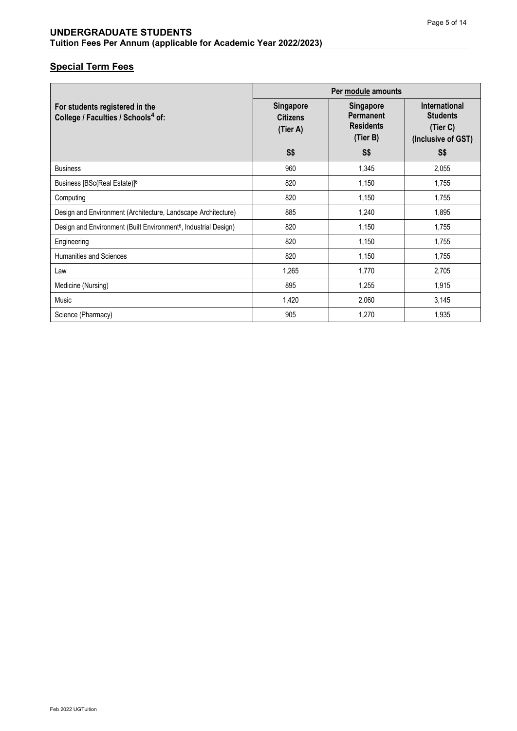|                                                                                  | Per module amounts                              |                                                                      |                                                                           |  |
|----------------------------------------------------------------------------------|-------------------------------------------------|----------------------------------------------------------------------|---------------------------------------------------------------------------|--|
| For students registered in the<br>College / Faculties / Schools <sup>4</sup> of: | <b>Singapore</b><br><b>Citizens</b><br>(Tier A) | <b>Singapore</b><br><b>Permanent</b><br><b>Residents</b><br>(Tier B) | <b>International</b><br><b>Students</b><br>(Tier C)<br>(Inclusive of GST) |  |
|                                                                                  | <b>S\$</b>                                      | <b>S\$</b>                                                           | S\$                                                                       |  |
| <b>Business</b>                                                                  | 960                                             | 1,345                                                                | 2,055                                                                     |  |
| Business [BSc(Real Estate)] <sup>6</sup>                                         | 820                                             | 1,150                                                                | 1,755                                                                     |  |
| Computing                                                                        | 820                                             | 1,150                                                                | 1,755                                                                     |  |
| Design and Environment (Architecture, Landscape Architecture)                    | 885                                             | 1,240                                                                | 1,895                                                                     |  |
| Design and Environment (Built Environment <sup>6</sup> , Industrial Design)      | 820                                             | 1,150                                                                | 1,755                                                                     |  |
| Engineering                                                                      | 820                                             | 1,150                                                                | 1,755                                                                     |  |
| <b>Humanities and Sciences</b>                                                   | 820                                             | 1,150                                                                | 1,755                                                                     |  |
| Law                                                                              | 1,265                                           | 1,770                                                                | 2,705                                                                     |  |
| Medicine (Nursing)                                                               | 895                                             | 1,255                                                                | 1,915                                                                     |  |
| Music                                                                            | 1,420                                           | 2,060                                                                | 3,145                                                                     |  |
| Science (Pharmacy)                                                               | 905                                             | 1,270                                                                | 1,935                                                                     |  |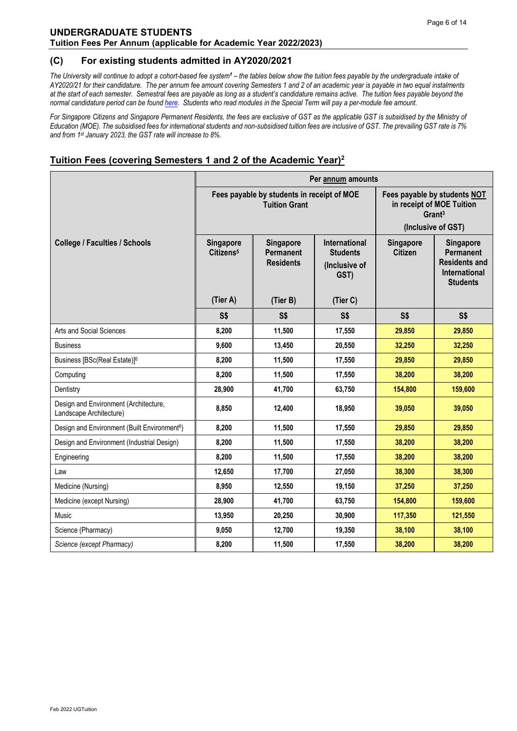#### <span id="page-5-0"></span>**(C) For existing students admitted in AY2020/2021**

*The University will continue to adopt a cohort-based fee system<sup>1</sup> – the tables below show the tuition fees payable by the undergraduate intake of AY2020/21 for their candidature. The per annum fee amount covering Semesters 1 and 2 of an academic year is payable in two equal instalments at the start of each semester. Semestral fees are payable as long as a student's candidature remains active. The tuition fees payable beyond the normal candidature period can be foun[d here.](http://www.nus.edu.sg/registrar/administrative-policies-procedures/undergraduate/undergraduate-fees) Students who read modules in the Special Term will pay a per-module fee amount.* 

For Singapore Citizens and Singapore Permanent Residents, the fees are exclusive of GST as the applicable GST is subsidised by the Ministry of *Education (MOE). The subsidised fees for international students and non-subsidised tuition fees are inclusive of GST. The prevailing GST rate is 7% and from 1st January 2023, the GST rate will increase to 8%.*

|                                                                  | Per annum amounts                                                                                                                                           |                                                                    |                                                                                                       |                             |                                                                                                  |  |
|------------------------------------------------------------------|-------------------------------------------------------------------------------------------------------------------------------------------------------------|--------------------------------------------------------------------|-------------------------------------------------------------------------------------------------------|-----------------------------|--------------------------------------------------------------------------------------------------|--|
|                                                                  |                                                                                                                                                             | Fees payable by students in receipt of MOE<br><b>Tuition Grant</b> | Fees payable by students NOT<br>in receipt of MOE Tuition<br>Grant <sup>3</sup><br>(Inclusive of GST) |                             |                                                                                                  |  |
| <b>College / Faculties / Schools</b>                             | <b>International</b><br>Singapore<br>Singapore<br>Citizens <sup>5</sup><br><b>Permanent</b><br><b>Students</b><br><b>Residents</b><br>(Inclusive of<br>GST) |                                                                    |                                                                                                       | Singapore<br><b>Citizen</b> | Singapore<br><b>Permanent</b><br><b>Residents and</b><br><b>International</b><br><b>Students</b> |  |
|                                                                  | (Tier A)                                                                                                                                                    | (Tier B)                                                           | (Tier C)                                                                                              |                             |                                                                                                  |  |
|                                                                  | S\$<br>S\$<br>S\$                                                                                                                                           |                                                                    |                                                                                                       | S\$                         | S\$                                                                                              |  |
| Arts and Social Sciences                                         | 8,200                                                                                                                                                       | 11,500                                                             | 17,550                                                                                                | 29,850                      | 29,850                                                                                           |  |
| <b>Business</b>                                                  | 9,600                                                                                                                                                       | 13,450                                                             | 20,550                                                                                                | 32,250                      | 32,250                                                                                           |  |
| Business [BSc(Real Estate)] <sup>6</sup>                         | 8,200                                                                                                                                                       | 11,500                                                             | 17,550                                                                                                | 29,850                      | 29,850                                                                                           |  |
| Computing                                                        | 8,200                                                                                                                                                       | 11,500                                                             | 17,550                                                                                                | 38,200                      | 38,200                                                                                           |  |
| Dentistry                                                        | 28,900                                                                                                                                                      | 41,700                                                             | 63,750                                                                                                | 154,800                     | 159,600                                                                                          |  |
| Design and Environment (Architecture,<br>Landscape Architecture) | 8,850                                                                                                                                                       | 12,400                                                             | 18.950                                                                                                | 39.050                      | 39,050                                                                                           |  |
| Design and Environment (Built Environment <sup>6</sup> )         | 8,200                                                                                                                                                       | 11,500                                                             | 17,550                                                                                                | 29,850                      | 29,850                                                                                           |  |
| Design and Environment (Industrial Design)                       | 8,200                                                                                                                                                       | 11,500                                                             | 17,550                                                                                                | 38,200                      | 38,200                                                                                           |  |
| Engineering                                                      | 8,200                                                                                                                                                       | 11,500                                                             | 17,550                                                                                                | 38,200                      | 38,200                                                                                           |  |
| Law                                                              | 12,650                                                                                                                                                      | 17,700                                                             | 27,050                                                                                                | 38,300                      | 38,300                                                                                           |  |
| Medicine (Nursing)                                               | 8,950                                                                                                                                                       | 12,550                                                             | 19,150                                                                                                | 37,250                      | 37,250                                                                                           |  |
| Medicine (except Nursing)                                        | 28,900                                                                                                                                                      | 41,700                                                             | 63,750                                                                                                | 154,800                     | 159,600                                                                                          |  |
| Music                                                            | 13,950                                                                                                                                                      | 20,250                                                             | 30,900                                                                                                | 117,350                     | 121,550                                                                                          |  |
| Science (Pharmacy)                                               | 9,050                                                                                                                                                       | 12,700                                                             | 19,350                                                                                                | 38,100                      | 38,100                                                                                           |  |
| Science (except Pharmacy)                                        | 8,200                                                                                                                                                       | 11,500                                                             | 17,550                                                                                                | 38,200                      | 38,200                                                                                           |  |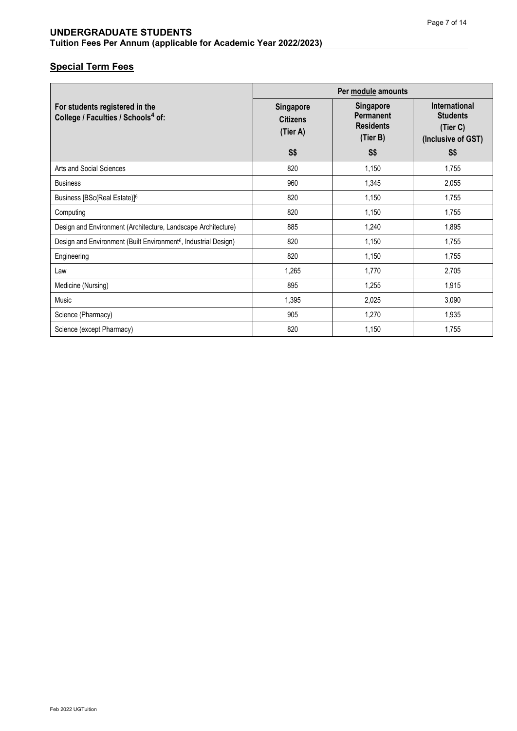|                                                                                  | Per module amounts                              |                                                                      |                                                                           |  |
|----------------------------------------------------------------------------------|-------------------------------------------------|----------------------------------------------------------------------|---------------------------------------------------------------------------|--|
| For students registered in the<br>College / Faculties / Schools <sup>4</sup> of: | <b>Singapore</b><br><b>Citizens</b><br>(Tier A) | <b>Singapore</b><br><b>Permanent</b><br><b>Residents</b><br>(Tier B) | <b>International</b><br><b>Students</b><br>(Tier C)<br>(Inclusive of GST) |  |
|                                                                                  | S <sub>5</sub>                                  | S <sub>5</sub>                                                       | S\$                                                                       |  |
| Arts and Social Sciences                                                         | 820                                             | 1,150                                                                | 1,755                                                                     |  |
| <b>Business</b>                                                                  | 960                                             | 1,345                                                                | 2,055                                                                     |  |
| Business [BSc(Real Estate)] <sup>6</sup>                                         | 820                                             | 1,150                                                                | 1,755                                                                     |  |
| Computing                                                                        | 820                                             | 1,150                                                                | 1,755                                                                     |  |
| Design and Environment (Architecture, Landscape Architecture)                    | 885                                             | 1,240                                                                | 1,895                                                                     |  |
| Design and Environment (Built Environment <sup>6</sup> , Industrial Design)      | 820                                             | 1,150                                                                | 1,755                                                                     |  |
| Engineering                                                                      | 820                                             | 1,150                                                                | 1,755                                                                     |  |
| Law                                                                              | 1,265                                           | 1,770                                                                | 2,705                                                                     |  |
| Medicine (Nursing)                                                               | 895                                             | 1,255                                                                | 1,915                                                                     |  |
| Music                                                                            | 1,395                                           | 2,025                                                                | 3,090                                                                     |  |
| Science (Pharmacy)                                                               | 905                                             | 1,270                                                                | 1,935                                                                     |  |
| Science (except Pharmacy)                                                        | 820                                             | 1,150                                                                | 1,755                                                                     |  |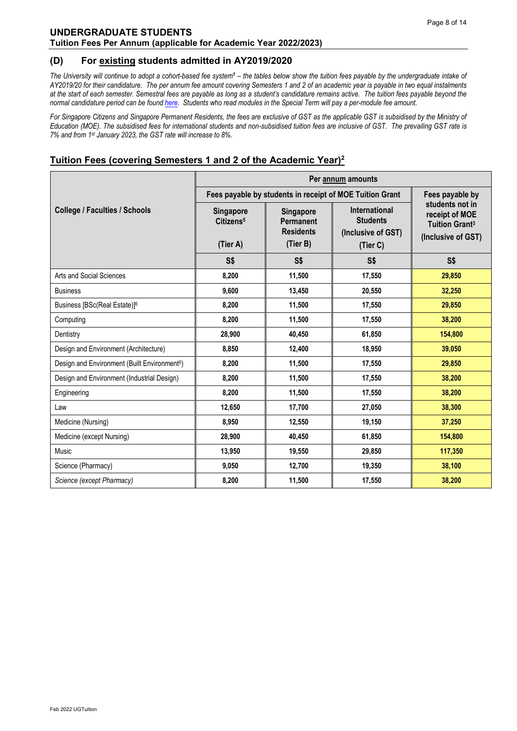#### <span id="page-7-0"></span>**(D) For existing students admitted in AY2019/2020**

*The University will continue to adopt a cohort-based fee system<sup>1</sup> – the tables below show the tuition fees payable by the undergraduate intake of AY2019/20 for their candidature. The per annum fee amount covering Semesters 1 and 2 of an academic year is payable in two equal instalments at the start of each semester. Semestral fees are payable as long as a student's candidature remains active. The tuition fees payable beyond the normal candidature period can be foun[d here.](http://www.nus.edu.sg/registrar/administrative-policies-procedures/undergraduate/undergraduate-fees) Students who read modules in the Special Term will pay a per-module fee amount.* 

For Singapore Citizens and Singapore Permanent Residents, the fees are exclusive of GST as the applicable GST is subsidised by the Ministry of *Education (MOE). The subsidised fees for international students and non-subsidised tuition fees are inclusive of GST. The prevailing GST rate is 7% and from 1st January 2023, the GST rate will increase to 8%.*

|                                                          | Per annum amounts                              |                                                          |                                                        |                                                                                             |  |
|----------------------------------------------------------|------------------------------------------------|----------------------------------------------------------|--------------------------------------------------------|---------------------------------------------------------------------------------------------|--|
|                                                          |                                                | Fees payable by students in receipt of MOE Tuition Grant |                                                        |                                                                                             |  |
| <b>College / Faculties / Schools</b>                     | Singapore<br>Citizens <sup>5</sup><br>(Tier A) | Singapore<br>Permanent<br><b>Residents</b><br>(Tier B)   | International<br><b>Students</b><br>(Inclusive of GST) | students not in<br>receipt of MOE<br><b>Tuition Grant<sup>3</sup></b><br>(Inclusive of GST) |  |
|                                                          |                                                |                                                          | (Tier C)                                               |                                                                                             |  |
|                                                          | S\$                                            | S\$                                                      | <b>S\$</b>                                             | S <sub>5</sub>                                                                              |  |
| Arts and Social Sciences                                 | 8,200                                          | 11,500                                                   | 17,550                                                 | 29,850                                                                                      |  |
| <b>Business</b>                                          | 9,600                                          | 13,450                                                   | 20,550                                                 | 32,250                                                                                      |  |
| Business [BSc(Real Estate)] <sup>6</sup>                 | 8,200                                          | 11,500                                                   | 17,550                                                 | 29,850                                                                                      |  |
| Computing                                                | 8,200                                          | 11,500                                                   | 17,550                                                 | 38,200                                                                                      |  |
| Dentistry                                                | 28,900                                         | 40.450                                                   | 61,850                                                 | 154,800                                                                                     |  |
| Design and Environment (Architecture)                    | 8,850                                          | 12,400                                                   | 18,950                                                 | 39,050                                                                                      |  |
| Design and Environment (Built Environment <sup>6</sup> ) | 8,200                                          | 11,500                                                   | 17,550                                                 | 29,850                                                                                      |  |
| Design and Environment (Industrial Design)               | 8,200                                          | 11,500                                                   | 17,550                                                 | 38,200                                                                                      |  |
| Engineering                                              | 8,200                                          | 11,500                                                   | 17,550                                                 | 38,200                                                                                      |  |
| Law                                                      | 12,650                                         | 17,700                                                   | 27,050                                                 | 38,300                                                                                      |  |
| Medicine (Nursing)                                       | 8,950                                          | 12,550                                                   | 19,150                                                 | 37,250                                                                                      |  |
| Medicine (except Nursing)                                | 28,900                                         | 40,450                                                   | 61,850                                                 | 154,800                                                                                     |  |
| Music                                                    | 13,950                                         | 19,550                                                   | 29,850                                                 | 117,350                                                                                     |  |
| Science (Pharmacy)                                       | 9,050                                          | 12,700                                                   | 19,350                                                 | 38,100                                                                                      |  |
| Science (except Pharmacy)                                | 8,200                                          | 11,500                                                   | 17,550                                                 | 38,200                                                                                      |  |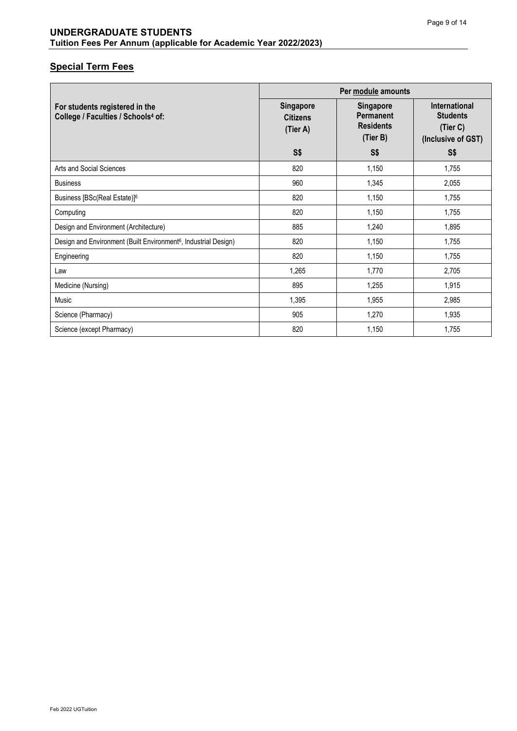| Per module amounts                                                               |                                                 |                                                               |                                                                    |
|----------------------------------------------------------------------------------|-------------------------------------------------|---------------------------------------------------------------|--------------------------------------------------------------------|
| For students registered in the<br>College / Faculties / Schools <sup>4</sup> of: | <b>Singapore</b><br><b>Citizens</b><br>(Tier A) | Singapore<br><b>Permanent</b><br><b>Residents</b><br>(Tier B) | International<br><b>Students</b><br>(Tier C)<br>(Inclusive of GST) |
|                                                                                  | S\$                                             | S\$                                                           | S\$                                                                |
| Arts and Social Sciences                                                         | 820                                             | 1,150                                                         | 1,755                                                              |
| <b>Business</b>                                                                  | 960                                             | 1,345                                                         | 2,055                                                              |
| Business [BSc(Real Estate)] <sup>6</sup>                                         | 820                                             | 1,150                                                         | 1,755                                                              |
| Computing                                                                        | 820                                             | 1,150                                                         | 1,755                                                              |
| Design and Environment (Architecture)                                            | 885                                             | 1,240                                                         | 1,895                                                              |
| Design and Environment (Built Environment <sup>6</sup> , Industrial Design)      | 820                                             | 1,150                                                         | 1,755                                                              |
| Engineering                                                                      | 820                                             | 1,150                                                         | 1,755                                                              |
| Law                                                                              | 1,265                                           | 1,770                                                         | 2,705                                                              |
| Medicine (Nursing)                                                               | 895                                             | 1,255                                                         | 1,915                                                              |
| Music                                                                            | 1,395                                           | 1,955                                                         | 2,985                                                              |
| Science (Pharmacy)                                                               | 905                                             | 1,270                                                         | 1,935                                                              |
| Science (except Pharmacy)                                                        | 820                                             | 1,150                                                         | 1,755                                                              |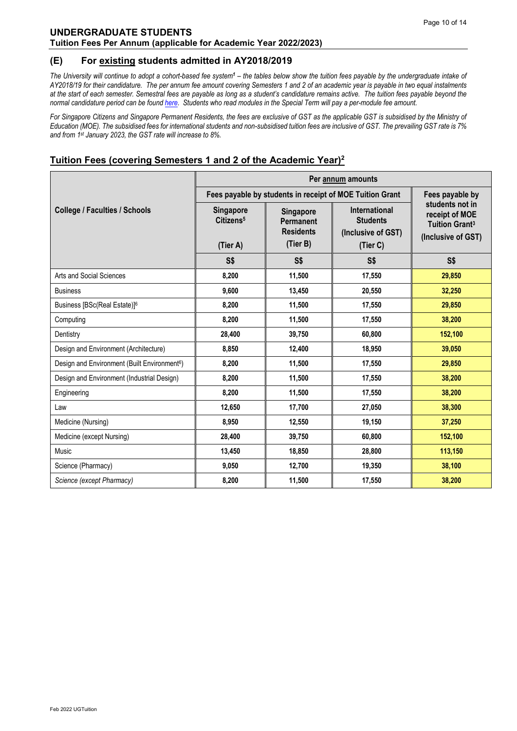#### <span id="page-9-0"></span>**(E) For existing students admitted in AY2018/2019**

*The University will continue to adopt a cohort-based fee system<sup>1</sup> – the tables below show the tuition fees payable by the undergraduate intake of AY2018/19 for their candidature. The per annum fee amount covering Semesters 1 and 2 of an academic year is payable in two equal instalments at the start of each semester. Semestral fees are payable as long as a student's candidature remains active. The tuition fees payable beyond the normal candidature period can be foun[d here.](http://www.nus.edu.sg/registrar/administrative-policies-procedures/undergraduate/undergraduate-fees) Students who read modules in the Special Term will pay a per-module fee amount.* 

For Singapore Citizens and Singapore Permanent Residents, the fees are exclusive of GST as the applicable GST is subsidised by the Ministry of *Education (MOE). The subsidised fees for international students and non-subsidised tuition fees are inclusive of GST. The prevailing GST rate is 7% and from 1st January 2023, the GST rate will increase to 8%.*

|                                                          | Per annum amounts                         |                                                          |                                                               |                                                                                             |  |
|----------------------------------------------------------|-------------------------------------------|----------------------------------------------------------|---------------------------------------------------------------|---------------------------------------------------------------------------------------------|--|
|                                                          |                                           | Fees payable by students in receipt of MOE Tuition Grant |                                                               |                                                                                             |  |
| <b>College / Faculties / Schools</b>                     | <b>Singapore</b><br>Citizens <sup>5</sup> | Singapore<br>Permanent<br><b>Residents</b>               | <b>International</b><br><b>Students</b><br>(Inclusive of GST) | students not in<br>receipt of MOE<br><b>Tuition Grant<sup>3</sup></b><br>(Inclusive of GST) |  |
|                                                          | (Tier A)                                  | (Tier B)                                                 | (Tier C)                                                      |                                                                                             |  |
|                                                          | S\$                                       | S\$                                                      | S\$                                                           | S\$                                                                                         |  |
| Arts and Social Sciences                                 | 8,200                                     | 11,500                                                   | 17,550                                                        | 29,850                                                                                      |  |
| <b>Business</b>                                          | 9,600                                     | 13,450                                                   | 20,550                                                        | 32,250                                                                                      |  |
| Business [BSc(Real Estate)] <sup>6</sup>                 | 8,200                                     | 11,500                                                   | 17,550                                                        | 29,850                                                                                      |  |
| Computing                                                | 8,200                                     | 11,500                                                   | 17,550                                                        | 38,200                                                                                      |  |
| Dentistry                                                | 28,400                                    | 39,750                                                   | 60,800                                                        | 152,100                                                                                     |  |
| Design and Environment (Architecture)                    | 8,850                                     | 12,400                                                   | 18,950                                                        | 39,050                                                                                      |  |
| Design and Environment (Built Environment <sup>6</sup> ) | 8,200                                     | 11,500                                                   | 17,550                                                        | 29,850                                                                                      |  |
| Design and Environment (Industrial Design)               | 8,200                                     | 11,500                                                   | 17,550                                                        | 38,200                                                                                      |  |
| Engineering                                              | 8,200                                     | 11,500                                                   | 17,550                                                        | 38,200                                                                                      |  |
| Law                                                      | 12,650                                    | 17,700                                                   | 27,050                                                        | 38,300                                                                                      |  |
| Medicine (Nursing)                                       | 8,950                                     | 12,550                                                   | 19,150                                                        | 37,250                                                                                      |  |
| Medicine (except Nursing)                                | 28,400                                    | 39,750                                                   | 60,800                                                        | 152,100                                                                                     |  |
| Music                                                    | 13,450                                    | 18,850                                                   | 28,800                                                        | 113,150                                                                                     |  |
| Science (Pharmacy)                                       | 9,050                                     | 12,700                                                   | 19,350                                                        | 38,100                                                                                      |  |
| Science (except Pharmacy)                                | 8,200                                     | 11,500                                                   | 17,550                                                        | 38,200                                                                                      |  |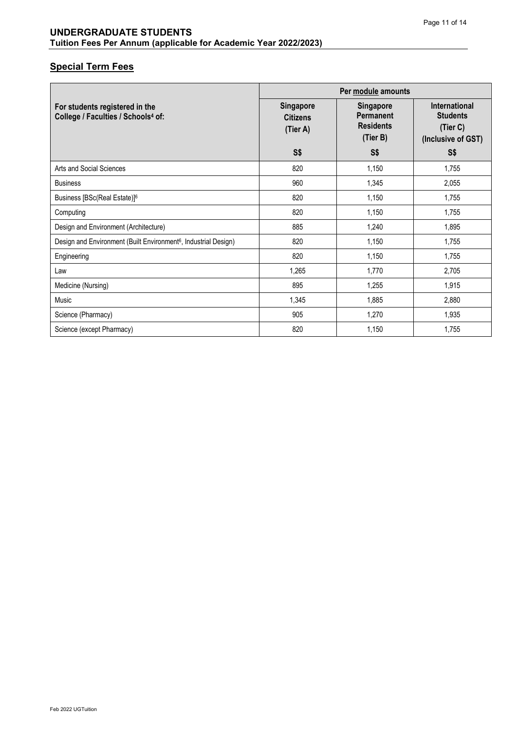| Per module amounts                                                               |                                                 |                                                        |                                                                           |
|----------------------------------------------------------------------------------|-------------------------------------------------|--------------------------------------------------------|---------------------------------------------------------------------------|
| For students registered in the<br>College / Faculties / Schools <sup>4</sup> of: | <b>Singapore</b><br><b>Citizens</b><br>(Tier A) | Singapore<br>Permanent<br><b>Residents</b><br>(Tier B) | <b>International</b><br><b>Students</b><br>(Tier C)<br>(Inclusive of GST) |
|                                                                                  | S\$                                             | S\$                                                    | S\$                                                                       |
| Arts and Social Sciences                                                         | 820                                             | 1,150                                                  | 1,755                                                                     |
| <b>Business</b>                                                                  | 960                                             | 1,345                                                  | 2,055                                                                     |
| Business [BSc(Real Estate)] <sup>6</sup>                                         | 820                                             | 1,150                                                  | 1,755                                                                     |
| Computing                                                                        | 820                                             | 1,150                                                  | 1,755                                                                     |
| Design and Environment (Architecture)                                            | 885                                             | 1,240                                                  | 1,895                                                                     |
| Design and Environment (Built Environment <sup>6</sup> , Industrial Design)      | 820                                             | 1,150                                                  | 1,755                                                                     |
| Engineering                                                                      | 820                                             | 1,150                                                  | 1,755                                                                     |
| Law                                                                              | 1,265                                           | 1,770                                                  | 2,705                                                                     |
| Medicine (Nursing)                                                               | 895                                             | 1,255                                                  | 1,915                                                                     |
| Music                                                                            | 1,345                                           | 1,885                                                  | 2,880                                                                     |
| Science (Pharmacy)                                                               | 905                                             | 1,270                                                  | 1,935                                                                     |
| Science (except Pharmacy)                                                        | 820                                             | 1,150                                                  | 1,755                                                                     |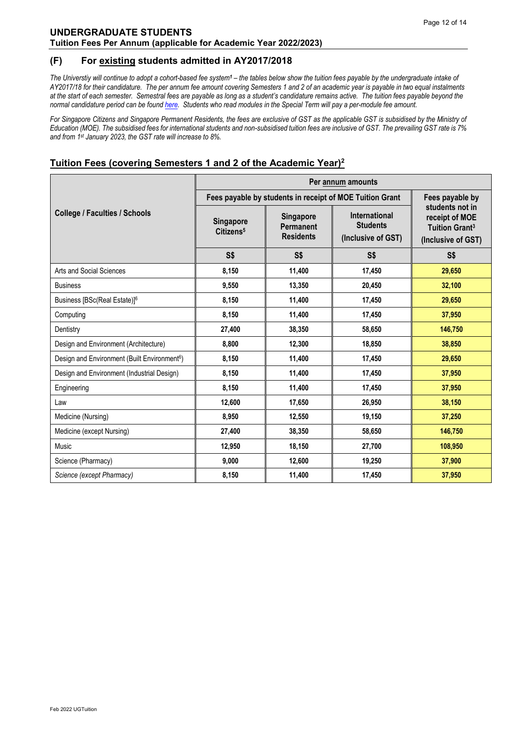#### <span id="page-11-0"></span>**(F) For existing students admitted in AY2017/2018**

*The Universtiy will continue to adopt a cohort-based fee system<sup>1</sup> – the tables below show the tuition fees payable by the undergraduate intake of AY2017/18 for their candidature. The per annum fee amount covering Semesters 1 and 2 of an academic year is payable in two equal instalments at the start of each semester. Semestral fees are payable as long as a student's candidature remains active. The tuition fees payable beyond the normal candidature period can be found [here.](http://www.nus.edu.sg/registrar/administrative-policies-procedures/undergraduate/undergraduate-fees) Students who read modules in the Special Term will pay a per-module fee amount.*

For Singapore Citizens and Singapore Permanent Residents, the fees are exclusive of GST as the applicable GST is subsidised by the Ministry of *Education (MOE). The subsidised fees for international students and non-subsidised tuition fees are inclusive of GST. The prevailing GST rate is 7% and from 1st January 2023, the GST rate will increase to 8%.*

|                                                          | Per annum amounts                  |                                            |                                                               |                                                                                             |
|----------------------------------------------------------|------------------------------------|--------------------------------------------|---------------------------------------------------------------|---------------------------------------------------------------------------------------------|
|                                                          |                                    |                                            | Fees payable by students in receipt of MOE Tuition Grant      | Fees payable by                                                                             |
| <b>College / Faculties / Schools</b>                     | Singapore<br>Citizens <sup>5</sup> | Singapore<br>Permanent<br><b>Residents</b> | <b>International</b><br><b>Students</b><br>(Inclusive of GST) | students not in<br>receipt of MOE<br><b>Tuition Grant<sup>3</sup></b><br>(Inclusive of GST) |
|                                                          | S <sub>5</sub>                     | S\$                                        | S\$                                                           | S\$                                                                                         |
| Arts and Social Sciences                                 | 8,150                              | 11,400                                     | 17,450                                                        | 29,650                                                                                      |
| <b>Business</b>                                          | 9,550                              | 13,350                                     | 20,450                                                        | 32,100                                                                                      |
| Business [BSc(Real Estate)] <sup>6</sup>                 | 8,150                              | 11,400                                     | 17,450                                                        | 29,650                                                                                      |
| Computing                                                | 8,150                              | 11,400                                     | 17,450                                                        | 37,950                                                                                      |
| Dentistry                                                | 27,400                             | 38,350                                     | 58,650                                                        | 146,750                                                                                     |
| Design and Environment (Architecture)                    | 8,800                              | 12,300                                     | 18,850                                                        | 38,850                                                                                      |
| Design and Environment (Built Environment <sup>6</sup> ) | 8,150                              | 11,400                                     | 17,450                                                        | 29,650                                                                                      |
| Design and Environment (Industrial Design)               | 8,150                              | 11,400                                     | 17,450                                                        | 37,950                                                                                      |
| Engineering                                              | 8,150                              | 11,400                                     | 17,450                                                        | 37,950                                                                                      |
| Law                                                      | 12,600                             | 17,650                                     | 26,950                                                        | 38,150                                                                                      |
| Medicine (Nursing)                                       | 8,950                              | 12,550                                     | 19,150                                                        | 37,250                                                                                      |
| Medicine (except Nursing)                                | 27,400                             | 38,350                                     | 58,650                                                        | 146,750                                                                                     |
| Music                                                    | 12,950                             | 18,150                                     | 27,700                                                        | 108,950                                                                                     |
| Science (Pharmacy)                                       | 9,000                              | 12,600                                     | 19,250                                                        | 37,900                                                                                      |
| Science (except Pharmacy)                                | 8,150                              | 11,400                                     | 17,450                                                        | 37,950                                                                                      |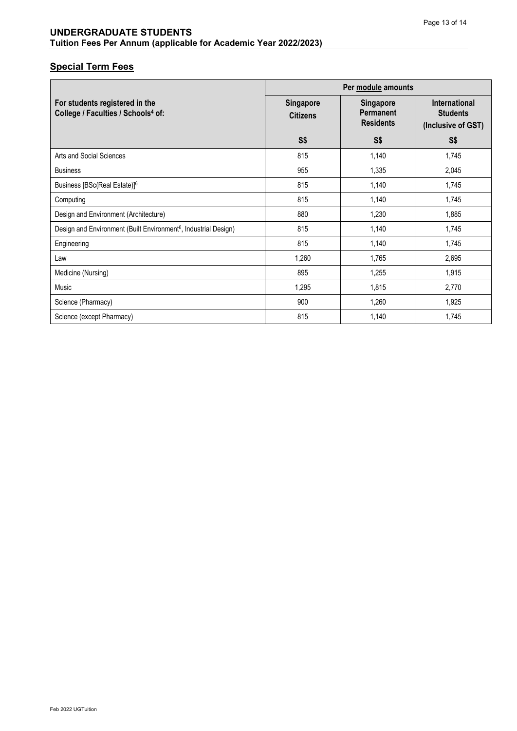|                                                                                  | Per module amounts           |                                                          |                                                               |  |
|----------------------------------------------------------------------------------|------------------------------|----------------------------------------------------------|---------------------------------------------------------------|--|
| For students registered in the<br>College / Faculties / Schools <sup>4</sup> of: | Singapore<br><b>Citizens</b> | <b>Singapore</b><br><b>Permanent</b><br><b>Residents</b> | <b>International</b><br><b>Students</b><br>(Inclusive of GST) |  |
|                                                                                  | S\$                          | S\$                                                      | <b>S\$</b>                                                    |  |
| Arts and Social Sciences                                                         | 815                          | 1,140                                                    | 1,745                                                         |  |
| <b>Business</b>                                                                  | 955                          | 1,335                                                    | 2,045                                                         |  |
| Business [BSc(Real Estate)] <sup>6</sup>                                         | 815                          | 1,140                                                    | 1,745                                                         |  |
| Computing                                                                        | 815                          | 1,140                                                    | 1,745                                                         |  |
| Design and Environment (Architecture)                                            | 880                          | 1,230                                                    | 1,885                                                         |  |
| Design and Environment (Built Environment <sup>6</sup> , Industrial Design)      | 815                          | 1,140                                                    | 1,745                                                         |  |
| Engineering                                                                      | 815                          | 1,140                                                    | 1,745                                                         |  |
| Law                                                                              | 1,260                        | 1,765                                                    | 2,695                                                         |  |
| Medicine (Nursing)                                                               | 895                          | 1,255                                                    | 1,915                                                         |  |
| Music                                                                            | 1,295                        | 1,815                                                    | 2,770                                                         |  |
| Science (Pharmacy)                                                               | 900                          | 1,260                                                    | 1,925                                                         |  |
| Science (except Pharmacy)                                                        | 815                          | 1,140                                                    | 1,745                                                         |  |